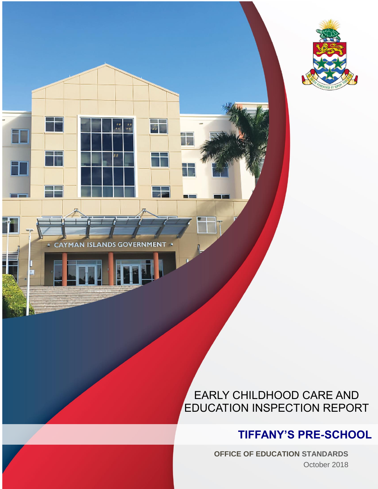

CAYMAN ISLANDS GOVERNMENT

**COLLECTION** 

ŦF

## EARLY CHILDHOOD CARE AND EDUCATION INSPECTION REPORT

## **TIFFANY'S PRE-SCHOOL**

**OFFICE OF EDUCATION STANDARDS** October 2018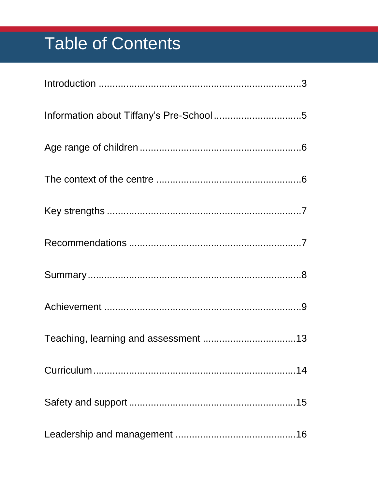# **Table of Contents**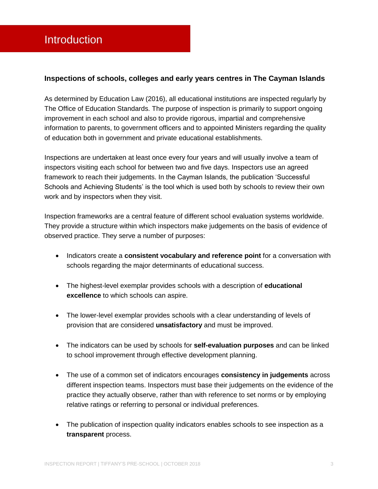#### <span id="page-3-0"></span>**Inspections of schools, colleges and early years centres in The Cayman Islands**

As determined by Education Law (2016), all educational institutions are inspected regularly by The Office of Education Standards. The purpose of inspection is primarily to support ongoing improvement in each school and also to provide rigorous, impartial and comprehensive information to parents, to government officers and to appointed Ministers regarding the quality of education both in government and private educational establishments.

Inspections are undertaken at least once every four years and will usually involve a team of inspectors visiting each school for between two and five days. Inspectors use an agreed framework to reach their judgements. In the Cayman Islands, the publication 'Successful Schools and Achieving Students' is the tool which is used both by schools to review their own work and by inspectors when they visit.

Inspection frameworks are a central feature of different school evaluation systems worldwide. They provide a structure within which inspectors make judgements on the basis of evidence of observed practice. They serve a number of purposes:

- **Indicators create a consistent vocabulary and reference point for a conversation with** schools regarding the major determinants of educational success.
- The highest-level exemplar provides schools with a description of **educational excellence** to which schools can aspire.
- The lower-level exemplar provides schools with a clear understanding of levels of provision that are considered **unsatisfactory** and must be improved.
- The indicators can be used by schools for **self-evaluation purposes** and can be linked to school improvement through effective development planning.
- The use of a common set of indicators encourages **consistency in judgements** across different inspection teams. Inspectors must base their judgements on the evidence of the practice they actually observe, rather than with reference to set norms or by employing relative ratings or referring to personal or individual preferences.
- The publication of inspection quality indicators enables schools to see inspection as a **transparent** process.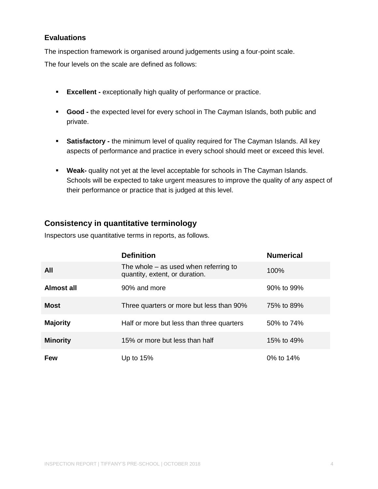#### **Evaluations**

The inspection framework is organised around judgements using a four-point scale.

The four levels on the scale are defined as follows:

- **Excellent -** exceptionally high quality of performance or practice.
- **Good -** the expected level for every school in The Cayman Islands, both public and private.
- **Satisfactory -** the minimum level of quality required for The Cayman Islands. All key aspects of performance and practice in every school should meet or exceed this level.
- **Weak-** quality not yet at the level acceptable for schools in The Cayman Islands. Schools will be expected to take urgent measures to improve the quality of any aspect of their performance or practice that is judged at this level.

#### **Consistency in quantitative terminology**

Inspectors use quantitative terms in reports, as follows.

|                 | <b>Definition</b>                                                         | <b>Numerical</b> |
|-----------------|---------------------------------------------------------------------------|------------------|
| All             | The whole $-$ as used when referring to<br>quantity, extent, or duration. | 100%             |
| Almost all      | 90% and more                                                              | 90% to 99%       |
| <b>Most</b>     | Three quarters or more but less than 90%                                  | 75% to 89%       |
| <b>Majority</b> | Half or more but less than three quarters                                 | 50% to 74%       |
| <b>Minority</b> | 15% or more but less than half                                            | 15% to 49%       |
| Few             | Up to $15%$                                                               | 0% to 14%        |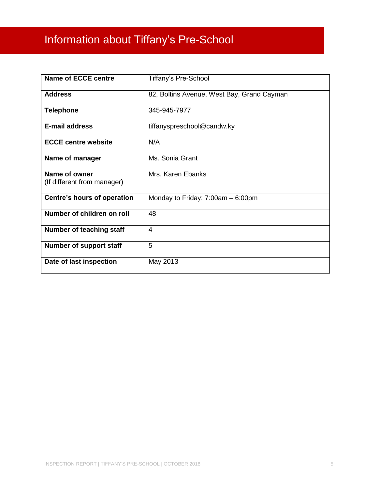## <span id="page-5-0"></span>Information about Tiffany's Pre-School

| <b>Name of ECCE centre</b>                   | <b>Tiffany's Pre-School</b>                |
|----------------------------------------------|--------------------------------------------|
| <b>Address</b>                               | 82, Boltins Avenue, West Bay, Grand Cayman |
| <b>Telephone</b>                             | 345-945-7977                               |
| <b>E-mail address</b>                        | tiffanyspreschool@candw.ky                 |
| <b>ECCE centre website</b>                   | N/A                                        |
| Name of manager                              | Ms. Sonia Grant                            |
| Name of owner<br>(If different from manager) | Mrs. Karen Ebanks                          |
| Centre's hours of operation                  | Monday to Friday: $7:00am - 6:00pm$        |
| Number of children on roll                   | 48                                         |
| Number of teaching staff                     | $\overline{4}$                             |
| Number of support staff                      | 5                                          |
| Date of last inspection                      | May 2013                                   |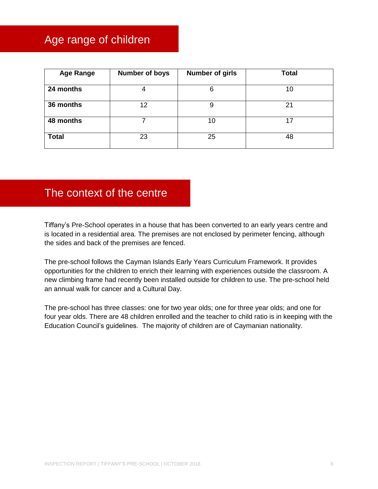## <span id="page-6-0"></span>Age range of children

| <b>Age Range</b> | <b>Number of boys</b> | <b>Number of girls</b> | <b>Total</b> |
|------------------|-----------------------|------------------------|--------------|
| 24 months        | 4                     | 6                      | 10           |
| 36 months        | 12                    | 9                      | 21           |
| 48 months        |                       | 10                     | 17           |
| <b>Total</b>     | 23                    | 25                     | 48           |

## <span id="page-6-1"></span>The context of the centre

Tiffany's Pre-School operates in a house that has been converted to an early years centre and is located in a residential area. The premises are not enclosed by perimeter fencing, although the sides and back of the premises are fenced.

The pre-school follows the Cayman Islands Early Years Curriculum Framework. It provides opportunities for the children to enrich their learning with experiences outside the classroom. A new climbing frame had recently been installed outside for children to use. The pre-school held an annual walk for cancer and a Cultural Day.

The pre-school has three classes: one for two year olds; one for three year olds; and one for four year olds. There are 48 children enrolled and the teacher to child ratio is in keeping with the Education Council's guidelines. The majority of children are of Caymanian nationality.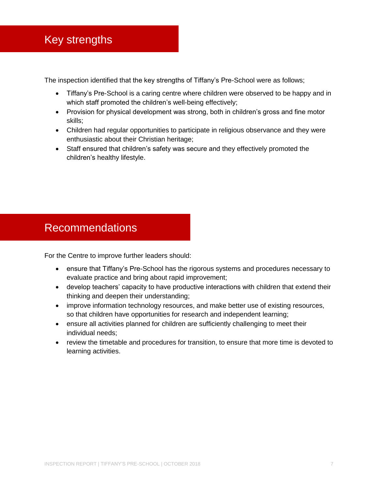<span id="page-7-0"></span>The inspection identified that the key strengths of Tiffany's Pre-School were as follows;

- Tiffany's Pre-School is a caring centre where children were observed to be happy and in which staff promoted the children's well-being effectively;
- Provision for physical development was strong, both in children's gross and fine motor skills;
- Children had regular opportunities to participate in religious observance and they were enthusiastic about their Christian heritage;
- Staff ensured that children's safety was secure and they effectively promoted the children's healthy lifestyle.

## <span id="page-7-1"></span>Recommendations

For the Centre to improve further leaders should:

- ensure that Tiffany's Pre-School has the rigorous systems and procedures necessary to evaluate practice and bring about rapid improvement;
- develop teachers' capacity to have productive interactions with children that extend their thinking and deepen their understanding;
- improve information technology resources, and make better use of existing resources, so that children have opportunities for research and independent learning;
- ensure all activities planned for children are sufficiently challenging to meet their individual needs;
- review the timetable and procedures for transition, to ensure that more time is devoted to learning activities.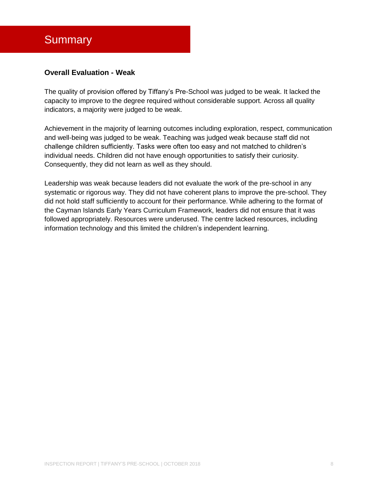## <span id="page-8-0"></span>**Summary**

#### **Overall Evaluation - Weak**

The quality of provision offered by Tiffany's Pre-School was judged to be weak. It lacked the capacity to improve to the degree required without considerable support. Across all quality indicators, a majority were judged to be weak.

Achievement in the majority of learning outcomes including exploration, respect, communication and well-being was judged to be weak. Teaching was judged weak because staff did not challenge children sufficiently. Tasks were often too easy and not matched to children's individual needs. Children did not have enough opportunities to satisfy their curiosity. Consequently, they did not learn as well as they should.

Leadership was weak because leaders did not evaluate the work of the pre-school in any systematic or rigorous way. They did not have coherent plans to improve the pre-school. They did not hold staff sufficiently to account for their performance. While adhering to the format of the Cayman Islands Early Years Curriculum Framework, leaders did not ensure that it was followed appropriately. Resources were underused. The centre lacked resources, including information technology and this limited the children's independent learning.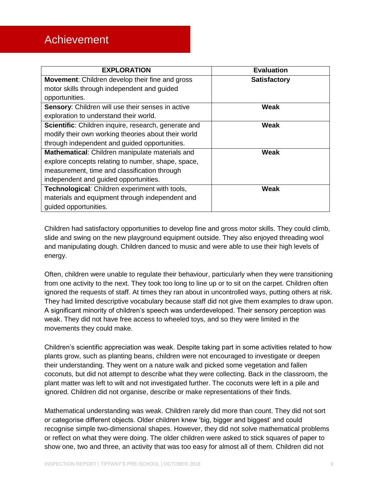## <span id="page-9-0"></span>Achievement

| <b>EXPLORATION</b>                                       | <b>Evaluation</b>   |
|----------------------------------------------------------|---------------------|
| Movement: Children develop their fine and gross          | <b>Satisfactory</b> |
| motor skills through independent and guided              |                     |
| opportunities.                                           |                     |
| <b>Sensory:</b> Children will use their senses in active | Weak                |
| exploration to understand their world.                   |                     |
| Scientific: Children inquire, research, generate and     | <b>Weak</b>         |
| modify their own working theories about their world      |                     |
| through independent and guided opportunities.            |                     |
| Mathematical: Children manipulate materials and          | Weak                |
| explore concepts relating to number, shape, space,       |                     |
| measurement, time and classification through             |                     |
| independent and guided opportunities.                    |                     |
| Technological: Children experiment with tools,           | Weak                |
| materials and equipment through independent and          |                     |
| guided opportunities.                                    |                     |

Children had satisfactory opportunities to develop fine and gross motor skills. They could climb, slide and swing on the new playground equipment outside. They also enjoyed threading wool and manipulating dough. Children danced to music and were able to use their high levels of energy.

Often, children were unable to regulate their behaviour, particularly when they were transitioning from one activity to the next. They took too long to line up or to sit on the carpet. Children often ignored the requests of staff. At times they ran about in uncontrolled ways, putting others at risk. They had limited descriptive vocabulary because staff did not give them examples to draw upon. A significant minority of children's speech was underdeveloped. Their sensory perception was weak. They did not have free access to wheeled toys, and so they were limited in the movements they could make.

Children's scientific appreciation was weak. Despite taking part in some activities related to how plants grow, such as planting beans, children were not encouraged to investigate or deepen their understanding. They went on a nature walk and picked some vegetation and fallen coconuts, but did not attempt to describe what they were collecting. Back in the classroom, the plant matter was left to wilt and not investigated further. The coconuts were left in a pile and ignored. Children did not organise, describe or make representations of their finds.

Mathematical understanding was weak. Children rarely did more than count. They did not sort or categorise different objects. Older children knew 'big, bigger and biggest' and could recognise simple two-dimensional shapes. However, they did not solve mathematical problems or reflect on what they were doing. The older children were asked to stick squares of paper to show one, two and three, an activity that was too easy for almost all of them. Children did not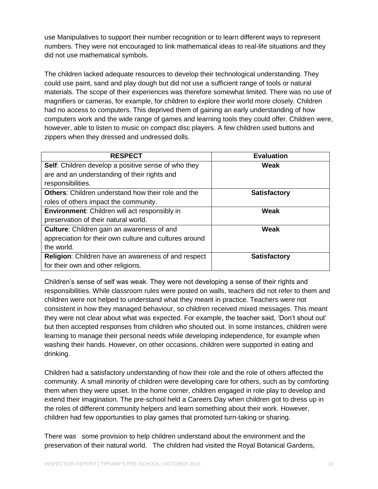use Manipulatives to support their number recognition or to learn different ways to represent numbers. They were not encouraged to link mathematical ideas to real-life situations and they did not use mathematical symbols.

The children lacked adequate resources to develop their technological understanding. They could use paint, sand and play dough but did not use a sufficient range of tools or natural materials. The scope of their experiences was therefore somewhat limited. There was no use of magnifiers or cameras, for example, for children to explore their world more closely. Children had no access to computers. This deprived them of gaining an early understanding of how computers work and the wide range of games and learning tools they could offer. Children were, however, able to listen to music on compact disc players. A few children used buttons and zippers when they dressed and undressed dolls.

| <b>RESPECT</b>                                             | <b>Evaluation</b>   |
|------------------------------------------------------------|---------------------|
| Self: Children develop a positive sense of who they        | Weak                |
| are and an understanding of their rights and               |                     |
| responsibilities.                                          |                     |
| <b>Others:</b> Children understand how their role and the  | <b>Satisfactory</b> |
| roles of others impact the community.                      |                     |
| <b>Environment:</b> Children will act responsibly in       | Weak                |
| preservation of their natural world.                       |                     |
| Culture: Children gain an awareness of and                 | <b>Weak</b>         |
| appreciation for their own culture and cultures around     |                     |
| the world.                                                 |                     |
| <b>Religion:</b> Children have an awareness of and respect | <b>Satisfactory</b> |
| for their own and other religions.                         |                     |

Children's sense of self was weak. They were not developing a sense of their rights and responsibilities. While classroom rules were posted on walls, teachers did not refer to them and children were not helped to understand what they meant in practice. Teachers were not consistent in how they managed behaviour, so children received mixed messages. This meant they were not clear about what was expected. For example, the teacher said, 'Don't shout out' but then accepted responses from children who shouted out. In some instances, children were learning to manage their personal needs while developing independence, for example when washing their hands. However, on other occasions, children were supported in eating and drinking.

Children had a satisfactory understanding of how their role and the role of others affected the community. A small minority of children were developing care for others, such as by comforting them when they were upset. In the home corner, children engaged in role play to develop and extend their imagination. The pre-school held a Careers Day when children got to dress up in the roles of different community helpers and learn something about their work. However, children had few opportunities to play games that promoted turn-taking or sharing.

There was some provision to help children understand about the environment and the preservation of their natural world. The children had visited the Royal Botanical Gardens,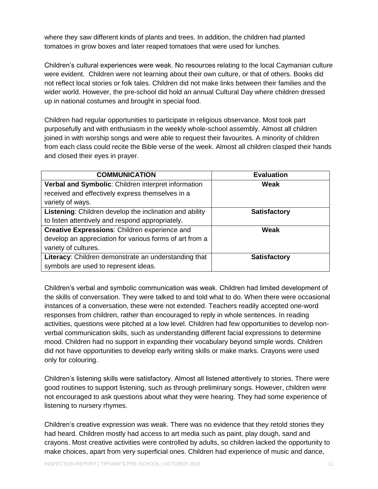where they saw different kinds of plants and trees. In addition, the children had planted tomatoes in grow boxes and later reaped tomatoes that were used for lunches.

Children's cultural experiences were weak. No resources relating to the local Caymanian culture were evident. Children were not learning about their own culture, or that of others. Books did not reflect local stories or folk tales. Children did not make links between their families and the wider world. However, the pre-school did hold an annual Cultural Day where children dressed up in national costumes and brought in special food.

Children had regular opportunities to participate in religious observance. Most took part purposefully and with enthusiasm in the weekly whole-school assembly. Almost all children joined in with worship songs and were able to request their favourites. A minority of children from each class could recite the Bible verse of the week. Almost all children clasped their hands and closed their eyes in prayer.

| <b>COMMUNICATION</b>                                    | <b>Evaluation</b>   |
|---------------------------------------------------------|---------------------|
| Verbal and Symbolic: Children interpret information     | <b>Weak</b>         |
| received and effectively express themselves in a        |                     |
| variety of ways.                                        |                     |
| Listening: Children develop the inclination and ability | <b>Satisfactory</b> |
| to listen attentively and respond appropriately.        |                     |
| Creative Expressions: Children experience and           | <b>Weak</b>         |
| develop an appreciation for various forms of art from a |                     |
| variety of cultures.                                    |                     |
| Literacy: Children demonstrate an understanding that    | <b>Satisfactory</b> |
| symbols are used to represent ideas.                    |                     |

Children's verbal and symbolic communication was weak. Children had limited development of the skills of conversation. They were talked to and told what to do. When there were occasional instances of a conversation, these were not extended. Teachers readily accepted one-word responses from children, rather than encouraged to reply in whole sentences. In reading activities, questions were pitched at a low level. Children had few opportunities to develop nonverbal communication skills, such as understanding different facial expressions to determine mood. Children had no support in expanding their vocabulary beyond simple words. Children did not have opportunities to develop early writing skills or make marks. Crayons were used only for colouring.

Children's listening skills were satisfactory. Almost all listened attentively to stories. There were good routines to support listening, such as through preliminary songs. However, children were not encouraged to ask questions about what they were hearing. They had some experience of listening to nursery rhymes.

Children's creative expression was weak. There was no evidence that they retold stories they had heard. Children mostly had access to art media such as paint, play dough, sand and crayons. Most creative activities were controlled by adults, so children lacked the opportunity to make choices, apart from very superficial ones. Children had experience of music and dance,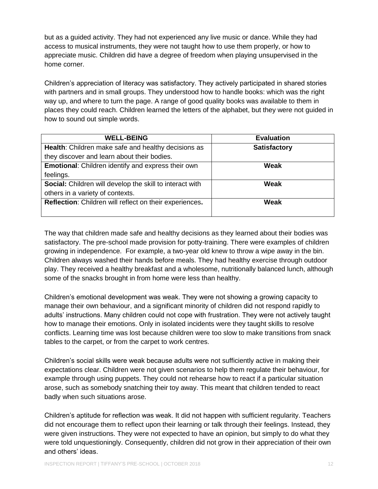but as a guided activity. They had not experienced any live music or dance. While they had access to musical instruments, they were not taught how to use them properly, or how to appreciate music. Children did have a degree of freedom when playing unsupervised in the home corner.

Children's appreciation of literacy was satisfactory. They actively participated in shared stories with partners and in small groups. They understood how to handle books: which was the right way up, and where to turn the page. A range of good quality books was available to them in places they could reach. Children learned the letters of the alphabet, but they were not guided in how to sound out simple words.

| <b>WELL-BEING</b>                                         | <b>Evaluation</b>   |
|-----------------------------------------------------------|---------------------|
| Health: Children make safe and healthy decisions as       | <b>Satisfactory</b> |
| they discover and learn about their bodies.               |                     |
| <b>Emotional:</b> Children identify and express their own | Weak                |
| feelings.                                                 |                     |
| Social: Children will develop the skill to interact with  | Weak                |
| others in a variety of contexts.                          |                     |
| Reflection: Children will reflect on their experiences.   | Weak                |
|                                                           |                     |

The way that children made safe and healthy decisions as they learned about their bodies was satisfactory. The pre-school made provision for potty-training. There were examples of children growing in independence. For example, a two-year old knew to throw a wipe away in the bin. Children always washed their hands before meals. They had healthy exercise through outdoor play. They received a healthy breakfast and a wholesome, nutritionally balanced lunch, although some of the snacks brought in from home were less than healthy.

Children's emotional development was weak. They were not showing a growing capacity to manage their own behaviour, and a significant minority of children did not respond rapidly to adults' instructions. Many children could not cope with frustration. They were not actively taught how to manage their emotions. Only in isolated incidents were they taught skills to resolve conflicts. Learning time was lost because children were too slow to make transitions from snack tables to the carpet, or from the carpet to work centres.

Children's social skills were weak because adults were not sufficiently active in making their expectations clear. Children were not given scenarios to help them regulate their behaviour, for example through using puppets. They could not rehearse how to react if a particular situation arose, such as somebody snatching their toy away. This meant that children tended to react badly when such situations arose.

Children's aptitude for reflection was weak. It did not happen with sufficient regularity. Teachers did not encourage them to reflect upon their learning or talk through their feelings. Instead, they were given instructions. They were not expected to have an opinion, but simply to do what they were told unquestioningly. Consequently, children did not grow in their appreciation of their own and others' ideas.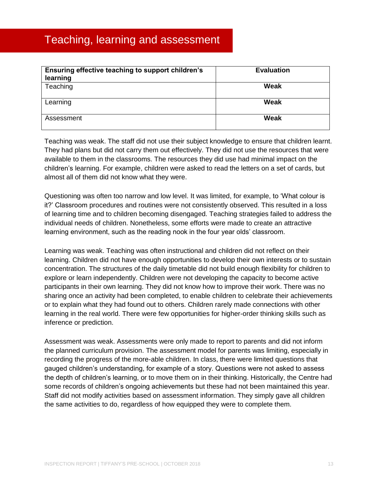### <span id="page-13-0"></span>Teaching, learning and assessment

| Ensuring effective teaching to support children's<br>learning | <b>Evaluation</b> |
|---------------------------------------------------------------|-------------------|
| Teaching                                                      | Weak              |
| Learning                                                      | <b>Weak</b>       |
| Assessment                                                    | <b>Weak</b>       |

Teaching was weak. The staff did not use their subject knowledge to ensure that children learnt. They had plans but did not carry them out effectively. They did not use the resources that were available to them in the classrooms. The resources they did use had minimal impact on the children's learning. For example, children were asked to read the letters on a set of cards, but almost all of them did not know what they were.

Questioning was often too narrow and low level. It was limited, for example, to 'What colour is it?' Classroom procedures and routines were not consistently observed. This resulted in a loss of learning time and to children becoming disengaged. Teaching strategies failed to address the individual needs of children. Nonetheless, some efforts were made to create an attractive learning environment, such as the reading nook in the four year olds' classroom.

Learning was weak. Teaching was often instructional and children did not reflect on their learning. Children did not have enough opportunities to develop their own interests or to sustain concentration. The structures of the daily timetable did not build enough flexibility for children to explore or learn independently. Children were not developing the capacity to become active participants in their own learning. They did not know how to improve their work. There was no sharing once an activity had been completed, to enable children to celebrate their achievements or to explain what they had found out to others. Children rarely made connections with other learning in the real world. There were few opportunities for higher-order thinking skills such as inference or prediction.

Assessment was weak. Assessments were only made to report to parents and did not inform the planned curriculum provision. The assessment model for parents was limiting, especially in recording the progress of the more-able children. In class, there were limited questions that gauged children's understanding, for example of a story. Questions were not asked to assess the depth of children's learning, or to move them on in their thinking. Historically, the Centre had some records of children's ongoing achievements but these had not been maintained this year. Staff did not modify activities based on assessment information. They simply gave all children the same activities to do, regardless of how equipped they were to complete them.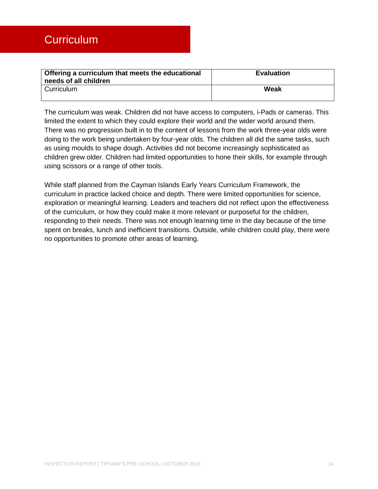<span id="page-14-0"></span>

| Offering a curriculum that meets the educational<br>needs of all children | <b>Evaluation</b> |
|---------------------------------------------------------------------------|-------------------|
| Curriculum                                                                | Weak              |

The curriculum was weak. Children did not have access to computers, i-Pads or cameras. This limited the extent to which they could explore their world and the wider world around them. There was no progression built in to the content of lessons from the work three-year olds were doing to the work being undertaken by four-year olds. The children all did the same tasks, such as using moulds to shape dough. Activities did not become increasingly sophisticated as children grew older. Children had limited opportunities to hone their skills, for example through using scissors or a range of other tools.

While staff planned from the Cayman Islands Early Years Curriculum Framework, the curriculum in practice lacked choice and depth. There were limited opportunities for science, exploration or meaningful learning. Leaders and teachers did not reflect upon the effectiveness of the curriculum, or how they could make it more relevant or purposeful for the children, responding to their needs. There was not enough learning time in the day because of the time spent on breaks, lunch and inefficient transitions. Outside, while children could play, there were no opportunities to promote other areas of learning.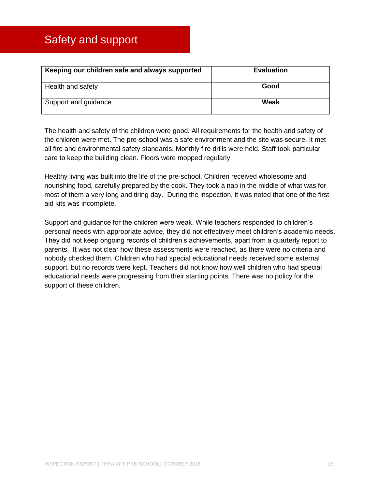<span id="page-15-0"></span>

| Keeping our children safe and always supported | <b>Evaluation</b> |
|------------------------------------------------|-------------------|
| Health and safety                              | Good              |
| Support and guidance                           | Weak              |

The health and safety of the children were good. All requirements for the health and safety of the children were met. The pre-school was a safe environment and the site was secure. It met all fire and environmental safety standards. Monthly fire drills were held. Staff took particular care to keep the building clean. Floors were mopped regularly.

Healthy living was built into the life of the pre-school. Children received wholesome and nourishing food, carefully prepared by the cook. They took a nap in the middle of what was for most of them a very long and tiring day. During the inspection, it was noted that one of the first aid kits was incomplete.

Support and guidance for the children were weak. While teachers responded to children's personal needs with appropriate advice, they did not effectively meet children's academic needs. They did not keep ongoing records of children's achievements, apart from a quarterly report to parents. It was not clear how these assessments were reached, as there were no criteria and nobody checked them. Children who had special educational needs received some external support, but no records were kept. Teachers did not know how well children who had special educational needs were progressing from their starting points. There was no policy for the support of these children.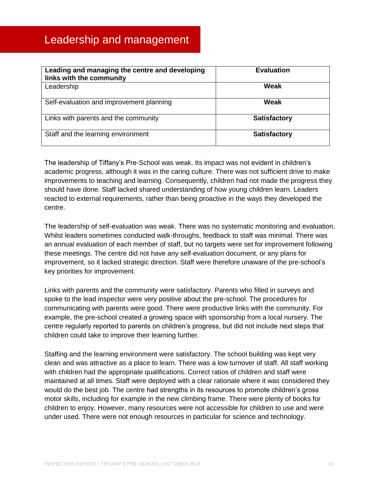<span id="page-16-0"></span>

| Leading and managing the centre and developing<br>links with the community | <b>Evaluation</b>   |
|----------------------------------------------------------------------------|---------------------|
| Leadership                                                                 | Weak                |
| Self-evaluation and improvement planning                                   | Weak                |
| Links with parents and the community                                       | <b>Satisfactory</b> |
| Staff and the learning environment                                         | <b>Satisfactory</b> |

The leadership of Tiffany's Pre-School was weak. Its impact was not evident in children's academic progress, although it was in the caring culture. There was not sufficient drive to make improvements to teaching and learning. Consequently, children had not made the progress they should have done. Staff lacked shared understanding of how young children learn. Leaders reacted to external requirements, rather than being proactive in the ways they developed the centre.

The leadership of self-evaluation was weak. There was no systematic monitoring and evaluation. Whilst leaders sometimes conducted walk-throughs, feedback to staff was minimal. There was an annual evaluation of each member of staff, but no targets were set for improvement following these meetings. The centre did not have any self-evaluation document, or any plans for improvement, so it lacked strategic direction. Staff were therefore unaware of the pre-school's key priorities for improvement.

Links with parents and the community were satisfactory. Parents who filled in surveys and spoke to the lead inspector were very positive about the pre-school. The procedures for communicating with parents were good. There were productive links with the community. For example, the pre-school created a growing space with sponsorship from a local nursery. The centre regularly reported to parents on children's progress, but did not include next steps that children could take to improve their learning further.

Staffing and the learning environment were satisfactory. The school building was kept very clean and was attractive as a place to learn. There was a low turnover of staff. All staff working with children had the appropriate qualifications. Correct ratios of children and staff were maintained at all times. Staff were deployed with a clear rationale where it was considered they would do the best job. The centre had strengths in its resources to promote children's gross motor skills, including for example in the new climbing frame. There were plenty of books for children to enjoy. However, many resources were not accessible for children to use and were under used. There were not enough resources in particular for science and technology.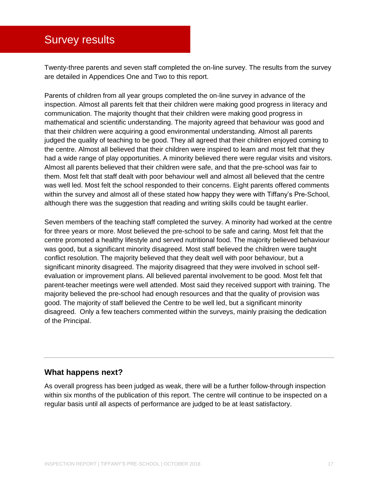### <span id="page-17-0"></span>Survey results

Twenty-three parents and seven staff completed the on-line survey. The results from the survey are detailed in Appendices One and Two to this report.

Parents of children from all year groups completed the on-line survey in advance of the inspection. Almost all parents felt that their children were making good progress in literacy and communication. The majority thought that their children were making good progress in mathematical and scientific understanding. The majority agreed that behaviour was good and that their children were acquiring a good environmental understanding. Almost all parents judged the quality of teaching to be good. They all agreed that their children enjoyed coming to the centre. Almost all believed that their children were inspired to learn and most felt that they had a wide range of play opportunities. A minority believed there were regular visits and visitors. Almost all parents believed that their children were safe, and that the pre-school was fair to them. Most felt that staff dealt with poor behaviour well and almost all believed that the centre was well led. Most felt the school responded to their concerns. Eight parents offered comments within the survey and almost all of these stated how happy they were with Tiffany's Pre-School, although there was the suggestion that reading and writing skills could be taught earlier.

Seven members of the teaching staff completed the survey. A minority had worked at the centre for three years or more. Most believed the pre-school to be safe and caring. Most felt that the centre promoted a healthy lifestyle and served nutritional food. The majority believed behaviour was good, but a significant minority disagreed. Most staff believed the children were taught conflict resolution. The majority believed that they dealt well with poor behaviour, but a significant minority disagreed. The majority disagreed that they were involved in school selfevaluation or improvement plans. All believed parental involvement to be good. Most felt that parent-teacher meetings were well attended. Most said they received support with training. The majority believed the pre-school had enough resources and that the quality of provision was good. The majority of staff believed the Centre to be well led, but a significant minority disagreed. Only a few teachers commented within the surveys, mainly praising the dedication of the Principal.

#### **What happens next?**

As overall progress has been judged as weak, there will be a further follow-through inspection within six months of the publication of this report. The centre will continue to be inspected on a regular basis until all aspects of performance are judged to be at least satisfactory.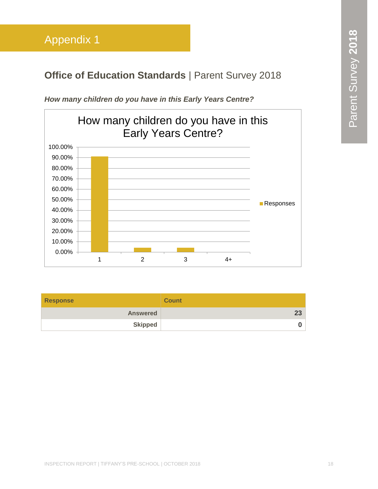## <span id="page-18-0"></span>**Office of Education Standards | Parent Survey 2018**



*How many children do you have in this Early Years Centre?*

| <b>Response</b> | <b>Count</b> |
|-----------------|--------------|
| <b>Answered</b> | າາ           |
| <b>Skipped</b>  |              |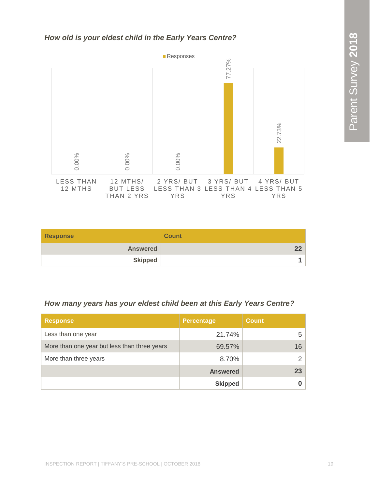#### *How old is your eldest child in the Early Years Centre?*



| <b>Response</b> | <b>Count</b> |
|-----------------|--------------|
| <b>Answered</b> | າາ           |
| <b>Skipped</b>  |              |

#### *How many years has your eldest child been at this Early Years Centre?*

| <b>Response</b>                              | <b>Percentage</b> | <b>Count</b> |
|----------------------------------------------|-------------------|--------------|
| Less than one year                           | 21.74%            | 5            |
| More than one year but less than three years | 69.57%            | 16           |
| More than three years                        | 8.70%             | っ            |
|                                              | <b>Answered</b>   | 23           |
|                                              | <b>Skipped</b>    |              |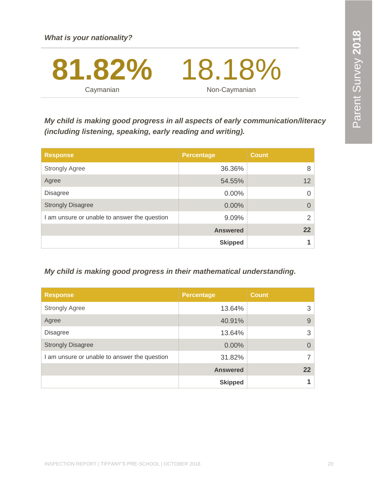

*My child is making good progress in all aspects of early communication/literacy (including listening, speaking, early reading and writing).*

| <b>Response</b>                              | <b>Percentage</b> | <b>Count</b>      |
|----------------------------------------------|-------------------|-------------------|
| <b>Strongly Agree</b>                        | 36.36%            | 8                 |
| Agree                                        | 54.55%            | $12 \overline{ }$ |
| <b>Disagree</b>                              | $0.00\%$          | $\Omega$          |
| <b>Strongly Disagree</b>                     | 0.00%             | $\Omega$          |
| I am unsure or unable to answer the question | 9.09%             | 2                 |
|                                              | <b>Answered</b>   | 22                |
|                                              | <b>Skipped</b>    |                   |

#### *My child is making good progress in their mathematical understanding.*

| <b>Response</b>                              | <b>Percentage</b> | <b>Count</b> |
|----------------------------------------------|-------------------|--------------|
| <b>Strongly Agree</b>                        | 13.64%            | 3            |
| Agree                                        | 40.91%            | 9            |
| <b>Disagree</b>                              | 13.64%            | 3            |
| <b>Strongly Disagree</b>                     | $0.00\%$          | $\Omega$     |
| I am unsure or unable to answer the question | 31.82%            | 7            |
|                                              | <b>Answered</b>   | 22           |
|                                              | <b>Skipped</b>    |              |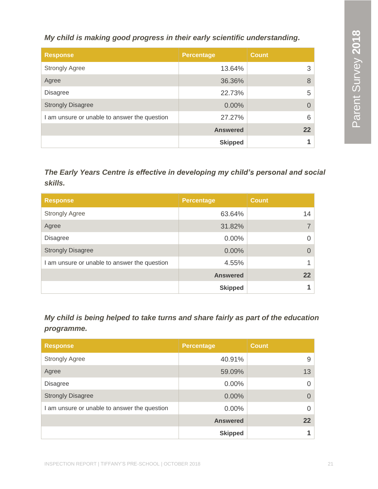*My child is making good progress in their early scientific understanding.*

| <b>Response</b>                              | <b>Percentage</b> | <b>Count</b> |
|----------------------------------------------|-------------------|--------------|
| <b>Strongly Agree</b>                        | 13.64%            | 3            |
| Agree                                        | 36.36%            | 8            |
| <b>Disagree</b>                              | 22.73%            | 5            |
| <b>Strongly Disagree</b>                     | 0.00%             |              |
| I am unsure or unable to answer the question | 27.27%            | 6            |
|                                              | <b>Answered</b>   | $22 \,$      |
|                                              | <b>Skipped</b>    |              |

#### *The Early Years Centre is effective in developing my child's personal and social skills.*

| <b>Response</b>                              | <b>Percentage</b> | <b>Count</b> |
|----------------------------------------------|-------------------|--------------|
| <b>Strongly Agree</b>                        | 63.64%            | 14           |
| Agree                                        | 31.82%            |              |
| <b>Disagree</b>                              | $0.00\%$          |              |
| <b>Strongly Disagree</b>                     | 0.00%             |              |
| I am unsure or unable to answer the question | 4.55%             |              |
|                                              | <b>Answered</b>   | 22           |
|                                              | <b>Skipped</b>    |              |

*My child is being helped to take turns and share fairly as part of the education programme.*

| <b>Response</b>                              | <b>Percentage</b> | <b>Count</b> |
|----------------------------------------------|-------------------|--------------|
| <b>Strongly Agree</b>                        | 40.91%            | 9            |
| Agree                                        | 59.09%            | 13           |
| <b>Disagree</b>                              | 0.00%             |              |
| <b>Strongly Disagree</b>                     | 0.00%             |              |
| I am unsure or unable to answer the question | $0.00\%$          |              |
|                                              | <b>Answered</b>   | 22           |
|                                              | <b>Skipped</b>    |              |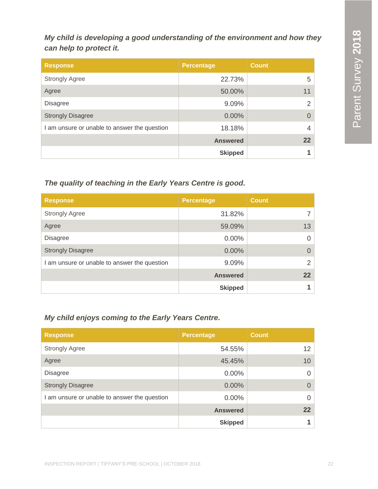*My child is developing a good understanding of the environment and how they can help to protect it.*

| <b>Response</b>                              | <b>Percentage</b> | <b>Count</b>          |
|----------------------------------------------|-------------------|-----------------------|
| <b>Strongly Agree</b>                        | 22.73%            | 5.                    |
| Agree                                        | 50.00%            | 11                    |
| <b>Disagree</b>                              | 9.09%             | $\mathbf{2}^{\prime}$ |
| <b>Strongly Disagree</b>                     | 0.00%             | $\Omega$              |
| I am unsure or unable to answer the question | 18.18%            | 4                     |
|                                              | <b>Answered</b>   | 22                    |
|                                              | <b>Skipped</b>    |                       |

#### *The quality of teaching in the Early Years Centre is good.*

| <b>Response</b>                              | <b>Percentage</b> | <b>Count</b>    |
|----------------------------------------------|-------------------|-----------------|
| <b>Strongly Agree</b>                        | 31.82%            |                 |
| Agree                                        | 59.09%            | 13              |
| <b>Disagree</b>                              | 0.00%             | 0               |
| <b>Strongly Disagree</b>                     | 0.00%             |                 |
| I am unsure or unable to answer the question | 9.09%             | $\mathcal{P}$   |
|                                              | <b>Answered</b>   | 22 <sub>2</sub> |
|                                              | <b>Skipped</b>    |                 |

#### *My child enjoys coming to the Early Years Centre.*

| <b>Response</b>                            | <b>Percentage</b> | <b>Count</b>      |
|--------------------------------------------|-------------------|-------------------|
| <b>Strongly Agree</b>                      | 54.55%            | $12 \overline{ }$ |
| Agree                                      | 45.45%            | 10                |
| <b>Disagree</b>                            | $0.00\%$          | 0                 |
| <b>Strongly Disagree</b>                   | $0.00\%$          | $\Omega$          |
| am unsure or unable to answer the question | $0.00\%$          | 0                 |
|                                            | <b>Answered</b>   | 22                |
|                                            | <b>Skipped</b>    |                   |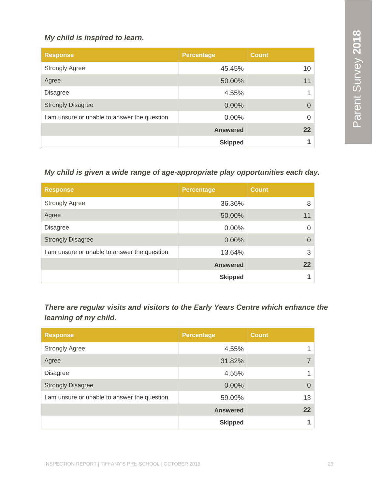#### *My child is inspired to learn.*

| <b>Response</b>                              | Percentage      | <b>Count</b> |
|----------------------------------------------|-----------------|--------------|
| <b>Strongly Agree</b>                        | 45.45%          | 10           |
| Agree                                        | 50.00%          | 11           |
| <b>Disagree</b>                              | 4.55%           |              |
| <b>Strongly Disagree</b>                     | $0.00\%$        | $\Omega$     |
| I am unsure or unable to answer the question | $0.00\%$        | $\Omega$     |
|                                              | <b>Answered</b> | 22           |
|                                              | <b>Skipped</b>  |              |

#### *My child is given a wide range of age-appropriate play opportunities each day.*

| <b>Response</b>                              | <b>Percentage</b> | <b>Count</b> |
|----------------------------------------------|-------------------|--------------|
| <b>Strongly Agree</b>                        | 36.36%            | 8            |
| Agree                                        | 50.00%            | 11           |
| <b>Disagree</b>                              | $0.00\%$          | O            |
| <b>Strongly Disagree</b>                     | $0.00\%$          | $\Omega$     |
| I am unsure or unable to answer the question | 13.64%            | 3            |
|                                              | <b>Answered</b>   | 22           |
|                                              | <b>Skipped</b>    |              |

*There are regular visits and visitors to the Early Years Centre which enhance the learning of my child.*

| <b>Response</b>                              | <b>Percentage</b> | <b>Count</b> |
|----------------------------------------------|-------------------|--------------|
| <b>Strongly Agree</b>                        | 4.55%             |              |
| Agree                                        | 31.82%            |              |
| <b>Disagree</b>                              | 4.55%             |              |
| <b>Strongly Disagree</b>                     | 0.00%             | $\Omega$     |
| I am unsure or unable to answer the question | 59.09%            | 13           |
|                                              | <b>Answered</b>   | 22           |
|                                              | <b>Skipped</b>    |              |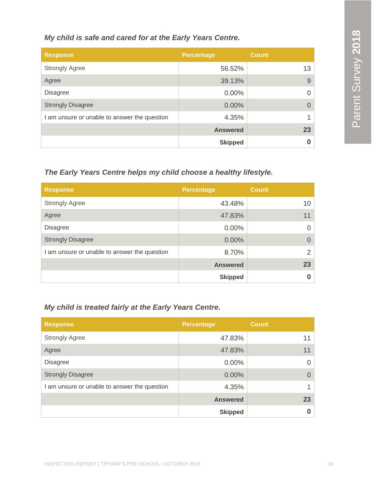#### *My child is safe and cared for at the Early Years Centre.*

| <b>Response</b>                              | <b>Percentage</b> | <b>Count</b> |
|----------------------------------------------|-------------------|--------------|
| <b>Strongly Agree</b>                        | 56.52%            | 13           |
| Agree                                        | 39.13%            | 9            |
| <b>Disagree</b>                              | $0.00\%$          | 0            |
| <b>Strongly Disagree</b>                     | $0.00\%$          | $\Omega$     |
| I am unsure or unable to answer the question | 4.35%             |              |
|                                              | <b>Answered</b>   | 23           |
|                                              | <b>Skipped</b>    |              |

#### *The Early Years Centre helps my child choose a healthy lifestyle.*

| <b>Response</b>                              | <b>Percentage</b> | <b>Count</b>    |
|----------------------------------------------|-------------------|-----------------|
| <b>Strongly Agree</b>                        | 43.48%            | 10 <sup>1</sup> |
| Agree                                        | 47.83%            | 11              |
| <b>Disagree</b>                              | 0.00%             | 0               |
| <b>Strongly Disagree</b>                     | 0.00%             | 0               |
| I am unsure or unable to answer the question | 8.70%             | 2               |
|                                              | <b>Answered</b>   | 23              |
|                                              | <b>Skipped</b>    |                 |

#### *My child is treated fairly at the Early Years Centre.*

| <b>Response</b>                              | <b>Percentage</b> | <b>Count</b> |
|----------------------------------------------|-------------------|--------------|
| <b>Strongly Agree</b>                        | 47.83%            | 11           |
| Agree                                        | 47.83%            | 11           |
| <b>Disagree</b>                              | 0.00%             | 0            |
| <b>Strongly Disagree</b>                     | 0.00%             | 0            |
| I am unsure or unable to answer the question | 4.35%             |              |
|                                              | <b>Answered</b>   | 23           |
|                                              | <b>Skipped</b>    |              |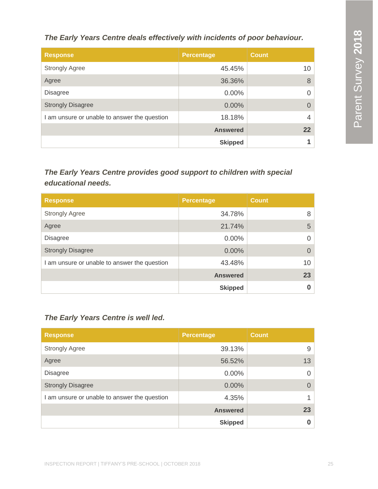*The Early Years Centre deals effectively with incidents of poor behaviour.*

| <b>Response</b>                              | <b>Percentage</b> | <b>Count</b>    |
|----------------------------------------------|-------------------|-----------------|
| <b>Strongly Agree</b>                        | 45.45%            | 10 <sup>°</sup> |
| Agree                                        | 36.36%            | 8               |
| <b>Disagree</b>                              | $0.00\%$          | 0               |
| <b>Strongly Disagree</b>                     | $0.00\%$          | $\mathcal{O}$   |
| I am unsure or unable to answer the question | 18.18%            | 4               |
|                                              | <b>Answered</b>   | 22              |
|                                              | <b>Skipped</b>    |                 |

#### *The Early Years Centre provides good support to children with special educational needs.*

| <b>Response</b>                              | <b>Percentage</b> | <b>Count</b> |
|----------------------------------------------|-------------------|--------------|
| <b>Strongly Agree</b>                        | 34.78%            | 8            |
| Agree                                        | 21.74%            | 5            |
| <b>Disagree</b>                              | 0.00%             | 0            |
| <b>Strongly Disagree</b>                     | 0.00%             | O            |
| I am unsure or unable to answer the question | 43.48%            | 10           |
|                                              | <b>Answered</b>   | 23           |
|                                              | <b>Skipped</b>    |              |

#### *The Early Years Centre is well led.*

| <b>Response</b>                              | <b>Percentage</b> | <b>Count</b> |
|----------------------------------------------|-------------------|--------------|
| <b>Strongly Agree</b>                        | 39.13%            | 9            |
| Agree                                        | 56.52%            | 13           |
| <b>Disagree</b>                              | 0.00%             | 0            |
| <b>Strongly Disagree</b>                     | $0.00\%$          | $\Omega$     |
| I am unsure or unable to answer the question | 4.35%             | 1            |
|                                              | <b>Answered</b>   | 23           |
|                                              | <b>Skipped</b>    | 0            |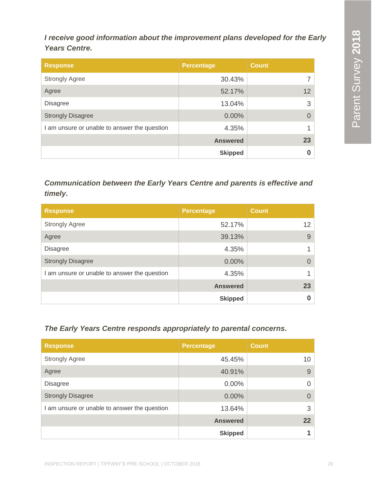*I receive good information about the improvement plans developed for the Early Years Centre.*

| <b>Response</b>                              | <b>Percentage</b> | <b>Count</b>    |
|----------------------------------------------|-------------------|-----------------|
| <b>Strongly Agree</b>                        | 30.43%            |                 |
| Agree                                        | 52.17%            | 12 <sup>2</sup> |
| <b>Disagree</b>                              | 13.04%            | 3               |
| <b>Strongly Disagree</b>                     | 0.00%             | 0               |
| I am unsure or unable to answer the question | 4.35%             |                 |
|                                              | <b>Answered</b>   | 23              |
|                                              | <b>Skipped</b>    |                 |

*Communication between the Early Years Centre and parents is effective and timely.*

| <b>Response</b>                              | <b>Percentage</b> | <b>Count</b>    |
|----------------------------------------------|-------------------|-----------------|
| <b>Strongly Agree</b>                        | 52.17%            | 12 <sup>2</sup> |
| Agree                                        | 39.13%            | 9               |
| <b>Disagree</b>                              | 4.35%             |                 |
| <b>Strongly Disagree</b>                     | 0.00%             | $\mathbf{O}$    |
| I am unsure or unable to answer the question | 4.35%             |                 |
|                                              | <b>Answered</b>   | 23              |
|                                              | <b>Skipped</b>    | 0               |

#### *The Early Years Centre responds appropriately to parental concerns.*

| <b>Response</b>                              | <b>Percentage</b> | <b>Count</b> |
|----------------------------------------------|-------------------|--------------|
| <b>Strongly Agree</b>                        | 45.45%            | 10           |
| Agree                                        | 40.91%            | 9            |
| <b>Disagree</b>                              | $0.00\%$          |              |
| <b>Strongly Disagree</b>                     | 0.00%             |              |
| I am unsure or unable to answer the question | 13.64%            | 3            |
|                                              | <b>Answered</b>   | 22           |
|                                              | <b>Skipped</b>    |              |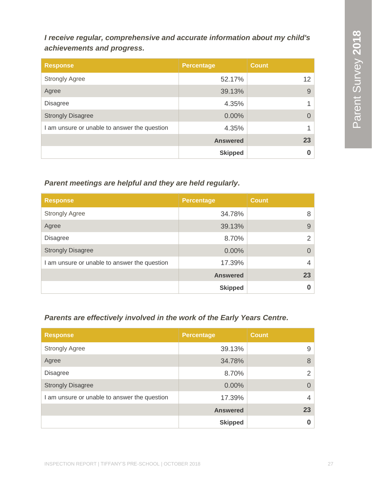*I receive regular, comprehensive and accurate information about my child's achievements and progress.*

| <b>Response</b>                              | <b>Percentage</b> | <b>Count</b> |
|----------------------------------------------|-------------------|--------------|
| <b>Strongly Agree</b>                        | 52.17%            | 12           |
| Agree                                        | 39.13%            | 9            |
| <b>Disagree</b>                              | 4.35%             |              |
| <b>Strongly Disagree</b>                     | 0.00%             | 0            |
| I am unsure or unable to answer the question | 4.35%             |              |
|                                              | <b>Answered</b>   | 23           |
|                                              | <b>Skipped</b>    |              |

#### *Parent meetings are helpful and they are held regularly.*

| <b>Response</b>                              | <b>Percentage</b> | <b>Count</b>   |
|----------------------------------------------|-------------------|----------------|
| <b>Strongly Agree</b>                        | 34.78%            | 8              |
| Agree                                        | 39.13%            | 9              |
| <b>Disagree</b>                              | 8.70%             | $\overline{2}$ |
| <b>Strongly Disagree</b>                     | 0.00%             | $\Omega$       |
| I am unsure or unable to answer the question | 17.39%            | 4              |
|                                              | <b>Answered</b>   | 23             |
|                                              | <b>Skipped</b>    |                |

#### *Parents are effectively involved in the work of the Early Years Centre.*

| <b>Response</b>                              | <b>Percentage</b> | <b>Count</b>   |
|----------------------------------------------|-------------------|----------------|
| <b>Strongly Agree</b>                        | 39.13%            | 9              |
| Agree                                        | 34.78%            | 8              |
| <b>Disagree</b>                              | 8.70%             | $\overline{2}$ |
| <b>Strongly Disagree</b>                     | 0.00%             |                |
| I am unsure or unable to answer the question | 17.39%            | 4              |
|                                              | <b>Answered</b>   | 23             |
|                                              | <b>Skipped</b>    |                |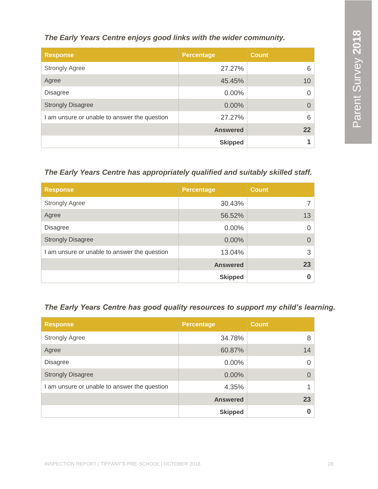#### *The Early Years Centre enjoys good links with the wider community.*

| <b>Response</b>                              | <b>Percentage</b> | <b>Count</b> |
|----------------------------------------------|-------------------|--------------|
| <b>Strongly Agree</b>                        | 27.27%            | 6            |
| Agree                                        | 45.45%            | 10           |
| <b>Disagree</b>                              | $0.00\%$          | Ω            |
| <b>Strongly Disagree</b>                     | $0.00\%$          | $\Omega$     |
| I am unsure or unable to answer the question | 27.27%            | 6            |
|                                              | <b>Answered</b>   | 22           |
|                                              | <b>Skipped</b>    | и            |

#### *The Early Years Centre has appropriately qualified and suitably skilled staff.*

| <b>Response</b>                              | <b>Percentage</b> | <b>Count</b> |
|----------------------------------------------|-------------------|--------------|
| <b>Strongly Agree</b>                        | 30.43%            |              |
| Agree                                        | 56.52%            | 13           |
| <b>Disagree</b>                              | 0.00%             | 0            |
| <b>Strongly Disagree</b>                     | 0.00%             | $\Omega$     |
| I am unsure or unable to answer the question | 13.04%            | 3            |
|                                              | <b>Answered</b>   | 23           |
|                                              | <b>Skipped</b>    |              |

#### *The Early Years Centre has good quality resources to support my child's learning.*

| <b>Response</b>                              | <b>Percentage</b> | <b>Count</b> |
|----------------------------------------------|-------------------|--------------|
| <b>Strongly Agree</b>                        | 34.78%            | 8            |
| Agree                                        | 60.87%            | 14           |
| <b>Disagree</b>                              | $0.00\%$          |              |
| <b>Strongly Disagree</b>                     | 0.00%             |              |
| I am unsure or unable to answer the question | 4.35%             |              |
|                                              | <b>Answered</b>   | 23           |
|                                              | <b>Skipped</b>    |              |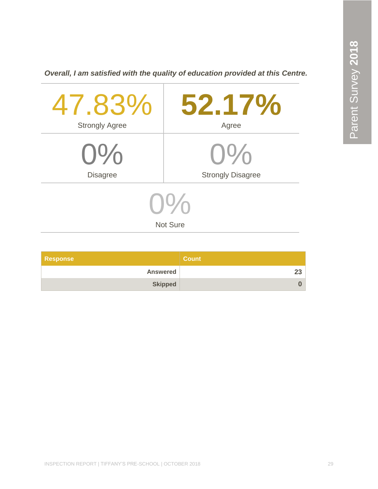*Overall, I am satisfied with the quality of education provided at this Centre.*

| 47.83%                                | 52.17%                   |  |
|---------------------------------------|--------------------------|--|
| <b>Strongly Agree</b>                 | Agree                    |  |
| $0\%$                                 | $O\%$                    |  |
| <b>Disagree</b>                       | <b>Strongly Disagree</b> |  |
| $U^{\prime\prime}$<br><b>Not Sure</b> |                          |  |

| <b>Response</b> | Count / |
|-----------------|---------|
| <b>Answered</b> |         |
| <b>Skipped</b>  |         |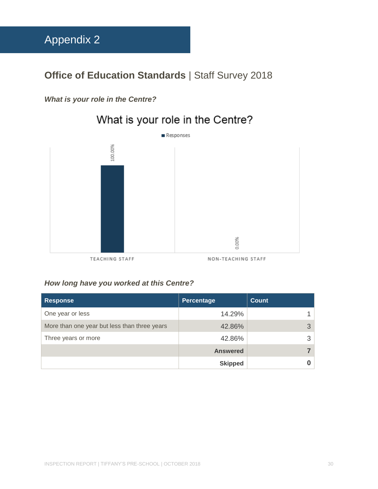### <span id="page-30-0"></span>**Office of Education Standards | Staff Survey 2018**

#### *What is your role in the Centre?*

## What is your role in the Centre?



#### *How long have you worked at this Centre?*

| <b>Response</b>                              | Percentage      | Count |
|----------------------------------------------|-----------------|-------|
| One year or less                             | 14.29%          |       |
| More than one year but less than three years | 42.86%          | 3     |
| Three years or more                          | 42.86%          | 3     |
|                                              | <b>Answered</b> |       |
|                                              | <b>Skipped</b>  |       |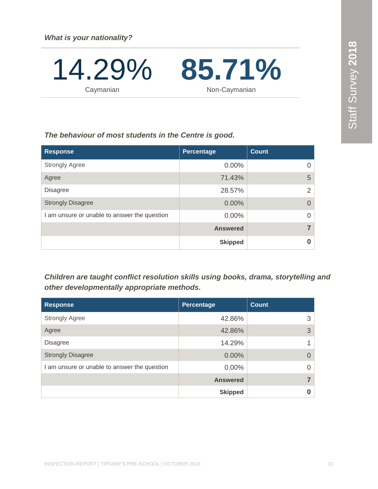14.29 **Caymanian** % **85.71 %** Non-Caymanian

#### *The behaviour of most students in the Centre is good.*

| <b>Response</b>                              | Percentage      | <b>Count</b>   |
|----------------------------------------------|-----------------|----------------|
| <b>Strongly Agree</b>                        | 0.00%           | 0              |
| Agree                                        | 71.43%          | 5              |
| <b>Disagree</b>                              | 28.57%          | 2              |
| <b>Strongly Disagree</b>                     | 0.00%           | $\overline{0}$ |
| I am unsure or unable to answer the question | 0.00%           | $\overline{0}$ |
|                                              | <b>Answered</b> | $\overline{7}$ |
|                                              | <b>Skipped</b>  | 0              |

*Children are taught conflict resolution skills using books, drama, storytelling and other developmentally appropriate methods.*

| <b>Response</b>                              | Percentage      | Count    |
|----------------------------------------------|-----------------|----------|
| <b>Strongly Agree</b>                        | 42.86%          | 3        |
| Agree                                        | 42.86%          | 3        |
| <b>Disagree</b>                              | 14.29%          |          |
| <b>Strongly Disagree</b>                     | $0.00\%$        | $\Omega$ |
| I am unsure or unable to answer the question | $0.00\%$        |          |
|                                              | <b>Answered</b> |          |
|                                              | <b>Skipped</b>  |          |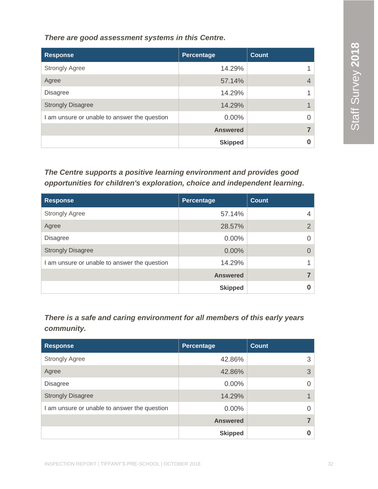*There are good assessment systems in this Centre.*

| <b>Response</b>                              | Percentage      | <b>Count</b> |
|----------------------------------------------|-----------------|--------------|
| <b>Strongly Agree</b>                        | 14.29%          |              |
| Agree                                        | 57.14%          |              |
| <b>Disagree</b>                              | 14.29%          |              |
| <b>Strongly Disagree</b>                     | 14.29%          |              |
| I am unsure or unable to answer the question | 0.00%           | 0            |
|                                              | <b>Answered</b> |              |
|                                              | <b>Skipped</b>  |              |

*The Centre supports a positive learning environment and provides good opportunities for children's exploration, choice and independent learning.*

| <b>Response</b>                              | Percentage      | <b>Count</b>   |
|----------------------------------------------|-----------------|----------------|
| <b>Strongly Agree</b>                        | 57.14%          | 4              |
| Agree                                        | 28.57%          | $\overline{2}$ |
| <b>Disagree</b>                              | 0.00%           | 0              |
| <b>Strongly Disagree</b>                     | 0.00%           | 0              |
| I am unsure or unable to answer the question | 14.29%          |                |
|                                              | <b>Answered</b> | 7              |
|                                              | <b>Skipped</b>  | 0              |

*There is a safe and caring environment for all members of this early years community.*

| <b>Response</b>                              | <b>Percentage</b> | <b>Count</b> |
|----------------------------------------------|-------------------|--------------|
| <b>Strongly Agree</b>                        | 42.86%            | 3            |
| Agree                                        | 42.86%            | 3            |
| <b>Disagree</b>                              | $0.00\%$          | $\Omega$     |
| <b>Strongly Disagree</b>                     | 14.29%            |              |
| I am unsure or unable to answer the question | $0.00\%$          | $\Omega$     |
|                                              | <b>Answered</b>   |              |
|                                              | <b>Skipped</b>    | O            |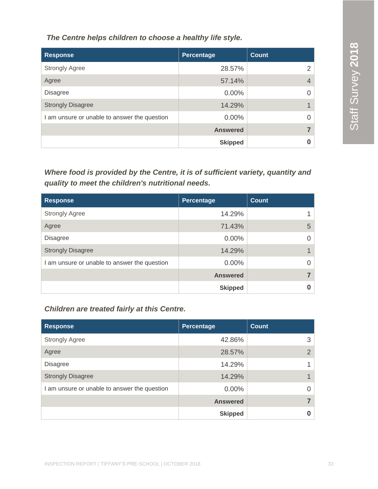*The Centre helps children to choose a healthy life style.*

| <b>Response</b>                              | <b>Percentage</b> | Count          |
|----------------------------------------------|-------------------|----------------|
| <b>Strongly Agree</b>                        | 28.57%            | 2              |
| Agree                                        | 57.14%            | $\overline{4}$ |
| <b>Disagree</b>                              | $0.00\%$          | $\Omega$       |
| <b>Strongly Disagree</b>                     | 14.29%            |                |
| I am unsure or unable to answer the question | $0.00\%$          | $\Omega$       |
|                                              | <b>Answered</b>   |                |
|                                              | <b>Skipped</b>    | O              |

*Where food is provided by the Centre, it is of sufficient variety, quantity and quality to meet the children's nutritional needs.*

| <b>Response</b>                              | Percentage      | <b>Count</b> |
|----------------------------------------------|-----------------|--------------|
| <b>Strongly Agree</b>                        | 14.29%          |              |
| Agree                                        | 71.43%          | 5            |
| <b>Disagree</b>                              | $0.00\%$        |              |
| <b>Strongly Disagree</b>                     | 14.29%          |              |
| I am unsure or unable to answer the question | 0.00%           |              |
|                                              | <b>Answered</b> |              |
|                                              | <b>Skipped</b>  |              |

#### *Children are treated fairly at this Centre.*

| <b>Response</b>                              | <b>Percentage</b> | <b>Count</b>  |
|----------------------------------------------|-------------------|---------------|
| <b>Strongly Agree</b>                        | 42.86%            | 3             |
| Agree                                        | 28.57%            | $\mathcal{P}$ |
| <b>Disagree</b>                              | 14.29%            |               |
| <b>Strongly Disagree</b>                     | 14.29%            |               |
| I am unsure or unable to answer the question | $0.00\%$          |               |
|                                              | <b>Answered</b>   |               |
|                                              | <b>Skipped</b>    |               |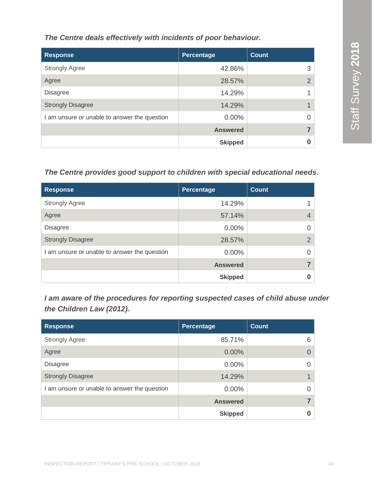*The Centre deals effectively with incidents of poor behaviour.*

| <b>Response</b>                              | <b>Percentage</b> | <b>Count</b>   |
|----------------------------------------------|-------------------|----------------|
| <b>Strongly Agree</b>                        | 42.86%            | 3              |
| Agree                                        | 28.57%            | $\overline{2}$ |
| <b>Disagree</b>                              | 14.29%            |                |
| <b>Strongly Disagree</b>                     | 14.29%            |                |
| I am unsure or unable to answer the question | $0.00\%$          | 0              |
|                                              | <b>Answered</b>   |                |
|                                              | <b>Skipped</b>    | 0              |

#### *The Centre provides good support to children with special educational needs.*

| <b>Response</b>                              | Percentage      | <b>Count</b>   |
|----------------------------------------------|-----------------|----------------|
| <b>Strongly Agree</b>                        | 14.29%          |                |
| Agree                                        | 57.14%          | $\overline{4}$ |
| <b>Disagree</b>                              | $0.00\%$        |                |
| <b>Strongly Disagree</b>                     | 28.57%          | 2              |
| I am unsure or unable to answer the question | $0.00\%$        | O              |
|                                              | <b>Answered</b> |                |
|                                              | <b>Skipped</b>  |                |

*I am aware of the procedures for reporting suspected cases of child abuse under the Children Law (2012).*

| <b>Response</b>                              | <b>Percentage</b> | <b>Count</b> |
|----------------------------------------------|-------------------|--------------|
| <b>Strongly Agree</b>                        | 85.71%            | 6            |
| Agree                                        | 0.00%             |              |
| <b>Disagree</b>                              | $0.00\%$          |              |
| <b>Strongly Disagree</b>                     | 14.29%            |              |
| I am unsure or unable to answer the question | $0.00\%$          |              |
|                                              | <b>Answered</b>   |              |
|                                              | <b>Skipped</b>    |              |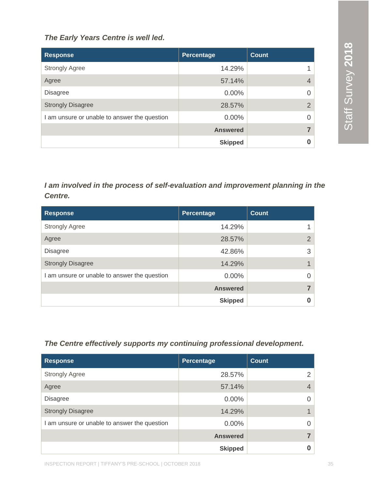#### *The Early Years Centre is well led.*

| <b>Response</b>                              | Percentage      | <b>Count</b>   |
|----------------------------------------------|-----------------|----------------|
| <b>Strongly Agree</b>                        | 14.29%          |                |
| Agree                                        | 57.14%          | $\overline{4}$ |
| <b>Disagree</b>                              | $0.00\%$        | $\Omega$       |
| <b>Strongly Disagree</b>                     | 28.57%          | 2              |
| I am unsure or unable to answer the question | $0.00\%$        | $\Omega$       |
|                                              | <b>Answered</b> |                |
|                                              | <b>Skipped</b>  | 0              |

*I am involved in the process of self-evaluation and improvement planning in the Centre.*

| <b>Response</b>                              | Percentage      | <b>Count</b> |
|----------------------------------------------|-----------------|--------------|
| <b>Strongly Agree</b>                        | 14.29%          |              |
| Agree                                        | 28.57%          | $\Omega$     |
| <b>Disagree</b>                              | 42.86%          | 3            |
| <b>Strongly Disagree</b>                     | 14.29%          |              |
| I am unsure or unable to answer the question | $0.00\%$        |              |
|                                              | <b>Answered</b> |              |
|                                              | <b>Skipped</b>  |              |

#### *The Centre effectively supports my continuing professional development.*

| <b>Response</b>                              | Percentage      | <b>Count</b>  |
|----------------------------------------------|-----------------|---------------|
| <b>Strongly Agree</b>                        | 28.57%          | $\mathcal{P}$ |
| Agree                                        | 57.14%          |               |
| <b>Disagree</b>                              | 0.00%           |               |
| <b>Strongly Disagree</b>                     | 14.29%          |               |
| I am unsure or unable to answer the question | 0.00%           |               |
|                                              | <b>Answered</b> |               |
|                                              | <b>Skipped</b>  |               |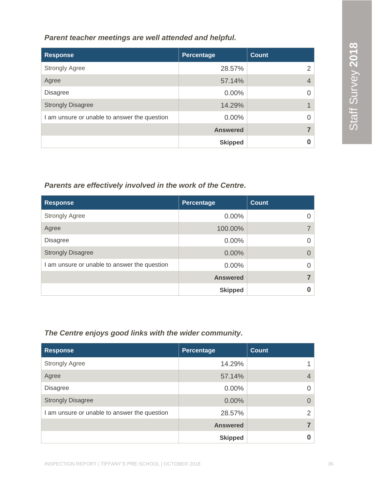*Parent teacher meetings are well attended and helpful.*

| <b>Response</b>                              | Percentage      | <b>Count</b>   |
|----------------------------------------------|-----------------|----------------|
| <b>Strongly Agree</b>                        | 28.57%          | っ              |
| Agree                                        | 57.14%          | $\overline{4}$ |
| <b>Disagree</b>                              | $0.00\%$        |                |
| <b>Strongly Disagree</b>                     | 14.29%          |                |
| I am unsure or unable to answer the question | 0.00%           |                |
|                                              | <b>Answered</b> |                |
|                                              | <b>Skipped</b>  |                |

#### *Parents are effectively involved in the work of the Centre.*

| <b>Response</b>                              | Percentage      | Count |
|----------------------------------------------|-----------------|-------|
| <b>Strongly Agree</b>                        | $0.00\%$        |       |
| Agree                                        | 100.00%         |       |
| <b>Disagree</b>                              | $0.00\%$        |       |
| <b>Strongly Disagree</b>                     | $0.00\%$        |       |
| I am unsure or unable to answer the question | $0.00\%$        |       |
|                                              | <b>Answered</b> |       |
|                                              | <b>Skipped</b>  |       |

#### *The Centre enjoys good links with the wider community.*

| <b>Response</b>                              | Percentage      | <b>Count</b>   |
|----------------------------------------------|-----------------|----------------|
| <b>Strongly Agree</b>                        | 14.29%          |                |
| Agree                                        | 57.14%          | $\overline{4}$ |
| <b>Disagree</b>                              | $0.00\%$        | O              |
| <b>Strongly Disagree</b>                     | 0.00%           | $\Omega$       |
| I am unsure or unable to answer the question | 28.57%          | $\mathcal{P}$  |
|                                              | <b>Answered</b> |                |
|                                              | <b>Skipped</b>  |                |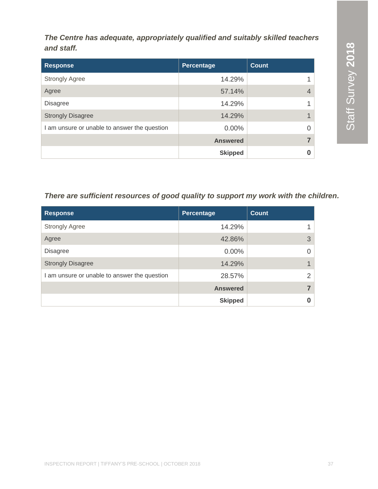*The Centre has adequate, appropriately qualified and suitably skilled teachers and staff.* 

| <b>Response</b>                              | Percentage      | <b>Count</b>   |
|----------------------------------------------|-----------------|----------------|
| <b>Strongly Agree</b>                        | 14.29%          | 1              |
| Agree                                        | 57.14%          | $\overline{4}$ |
| <b>Disagree</b>                              | 14.29%          | 1              |
| <b>Strongly Disagree</b>                     | 14.29%          | $\mathbf 1$    |
| I am unsure or unable to answer the question | $0.00\%$        | $\Omega$       |
|                                              | <b>Answered</b> | 7              |
|                                              | <b>Skipped</b>  | 0              |

#### *There are sufficient resources of good quality to support my work with the children.*

| <b>Response</b>                              | <b>Percentage</b> | <b>Count</b> |
|----------------------------------------------|-------------------|--------------|
| <b>Strongly Agree</b>                        | 14.29%            |              |
| Agree                                        | 42.86%            | 3            |
| <b>Disagree</b>                              | $0.00\%$          |              |
| <b>Strongly Disagree</b>                     | 14.29%            |              |
| I am unsure or unable to answer the question | 28.57%            | 2            |
|                                              | <b>Answered</b>   |              |
|                                              | <b>Skipped</b>    |              |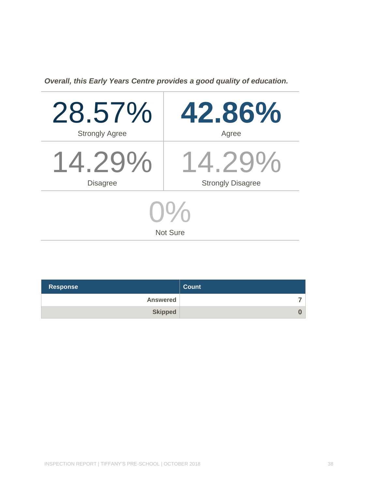*Overall, this Early Years Centre provides a good quality of education.*

| 28.57%                | 42.86%                   |  |
|-----------------------|--------------------------|--|
| <b>Strongly Agree</b> | Agree                    |  |
| $14.29\%$             | $14.79\%$                |  |
| <b>Disagree</b>       | <b>Strongly Disagree</b> |  |
| <b>Not Sure</b>       |                          |  |

| <b>Response</b> | <b>Count</b> |
|-----------------|--------------|
| <b>Answered</b> | ⇁            |
| <b>Skipped</b>  | $\bf{0}$     |